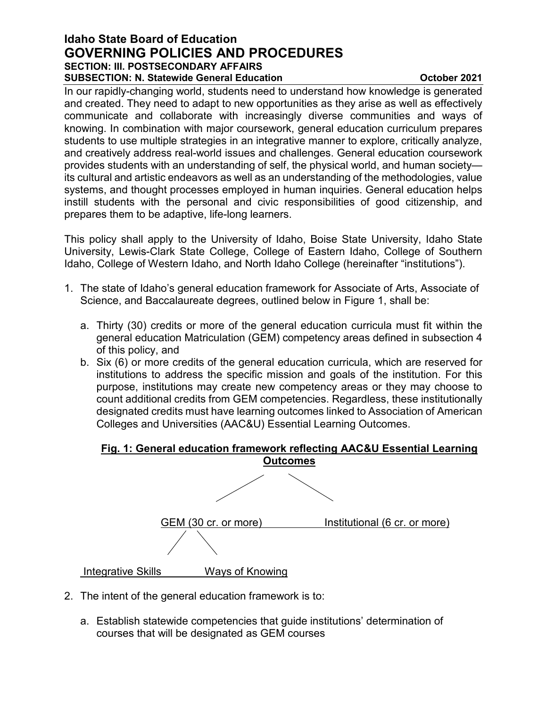# **Idaho State Board of Education GOVERNING POLICIES AND PROCEDURES SECTION: III. POSTSECONDARY AFFAIRS SUBSECTION: N. Statewide General Education CUBSECTION: N. Statewide General Education**

In our rapidly-changing world, students need to understand how knowledge is generated and created. They need to adapt to new opportunities as they arise as well as effectively communicate and collaborate with increasingly diverse communities and ways of knowing. In combination with major coursework, general education curriculum prepares students to use multiple strategies in an integrative manner to explore, critically analyze, and creatively address real-world issues and challenges. General education coursework provides students with an understanding of self, the physical world, and human society its cultural and artistic endeavors as well as an understanding of the methodologies, value systems, and thought processes employed in human inquiries. General education helps instill students with the personal and civic responsibilities of good citizenship, and prepares them to be adaptive, life-long learners.

This policy shall apply to the University of Idaho, Boise State University, Idaho State University, Lewis-Clark State College, College of Eastern Idaho, College of Southern Idaho, College of Western Idaho, and North Idaho College (hereinafter "institutions").

- 1. The state of Idaho's general education framework for Associate of Arts, Associate of Science, and Baccalaureate degrees, outlined below in Figure 1, shall be:
	- a. Thirty (30) credits or more of the general education curricula must fit within the general education Matriculation (GEM) competency areas defined in subsection 4 of this policy, and
	- b. Six (6) or more credits of the general education curricula, which are reserved for institutions to address the specific mission and goals of the institution. For this purpose, institutions may create new competency areas or they may choose to count additional credits from GEM competencies. Regardless, these institutionally designated credits must have learning outcomes linked to Association of American Colleges and Universities (AAC&U) Essential Learning Outcomes.

# **Fig. 1: General education framework reflecting AAC&U Essential Learning**



- 2. The intent of the general education framework is to:
	- a. Establish statewide competencies that guide institutions' determination of courses that will be designated as GEM courses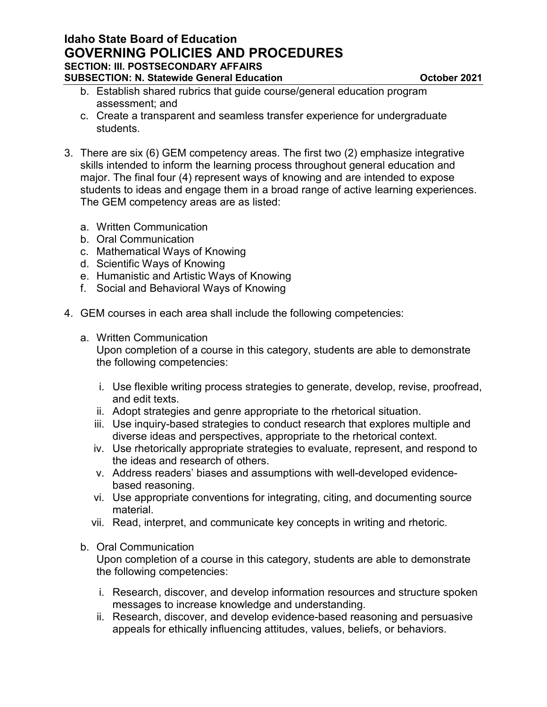- b. Establish shared rubrics that guide course/general education program assessment; and
- c. Create a transparent and seamless transfer experience for undergraduate students.
- 3. There are six (6) GEM competency areas. The first two (2) emphasize integrative skills intended to inform the learning process throughout general education and major. The final four (4) represent ways of knowing and are intended to expose students to ideas and engage them in a broad range of active learning experiences. The GEM competency areas are as listed:
	- a. Written Communication
	- b. Oral Communication
	- c. Mathematical Ways of Knowing
	- d. Scientific Ways of Knowing
	- e. Humanistic and Artistic Ways of Knowing
	- f. Social and Behavioral Ways of Knowing
- 4. GEM courses in each area shall include the following competencies:
	- a. Written Communication

Upon completion of a course in this category, students are able to demonstrate the following competencies:

- i. Use flexible writing process strategies to generate, develop, revise, proofread, and edit texts.
- ii. Adopt strategies and genre appropriate to the rhetorical situation.
- iii. Use inquiry-based strategies to conduct research that explores multiple and diverse ideas and perspectives, appropriate to the rhetorical context.
- iv. Use rhetorically appropriate strategies to evaluate, represent, and respond to the ideas and research of others.
- v. Address readers' biases and assumptions with well-developed evidencebased reasoning.
- vi. Use appropriate conventions for integrating, citing, and documenting source material.
- vii. Read, interpret, and communicate key concepts in writing and rhetoric.

#### b. Oral Communication

Upon completion of a course in this category, students are able to demonstrate the following competencies:

- i. Research, discover, and develop information resources and structure spoken messages to increase knowledge and understanding.
- ii. Research, discover, and develop evidence-based reasoning and persuasive appeals for ethically influencing attitudes, values, beliefs, or behaviors.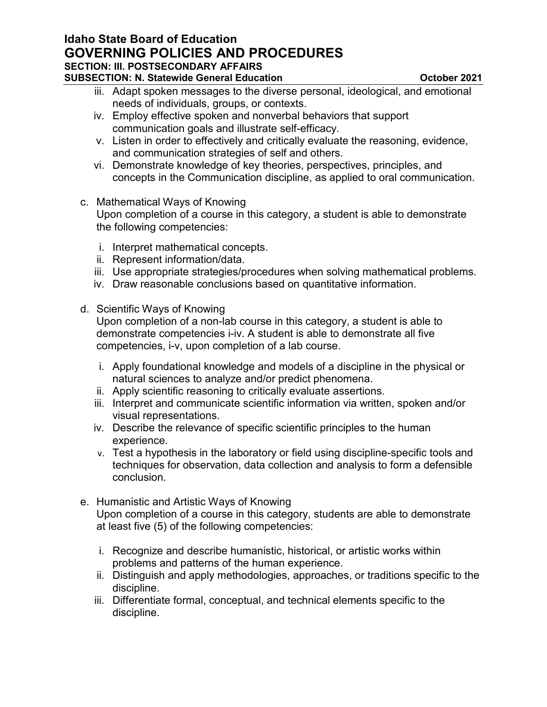# **Idaho State Board of Education GOVERNING POLICIES AND PROCEDURES SECTION: III. POSTSECONDARY AFFAIRS**

**SUBSECTION: N. Statewide General Education CUBSECTION: N. Statewide General Education** 

iii. Adapt spoken messages to the diverse personal, ideological, and emotional needs of individuals, groups, or contexts.

- iv. Employ effective spoken and nonverbal behaviors that support communication goals and illustrate self-efficacy.
- v. Listen in order to effectively and critically evaluate the reasoning, evidence, and communication strategies of self and others.
- vi. Demonstrate knowledge of key theories, perspectives, principles, and concepts in the Communication discipline, as applied to oral communication.
- c. Mathematical Ways of Knowing Upon completion of a course in this category, a student is able to demonstrate the following competencies:
	- i. Interpret mathematical concepts.
	- ii. Represent information/data.
	- iii. Use appropriate strategies/procedures when solving mathematical problems.
	- iv. Draw reasonable conclusions based on quantitative information.
- d. Scientific Ways of Knowing

Upon completion of a non-lab course in this category, a student is able to demonstrate competencies i-iv. A student is able to demonstrate all five competencies, i-v, upon completion of a lab course.

- i. Apply foundational knowledge and models of a discipline in the physical or natural sciences to analyze and/or predict phenomena.
- ii. Apply scientific reasoning to critically evaluate assertions.
- iii. Interpret and communicate scientific information via written, spoken and/or visual representations.
- iv. Describe the relevance of specific scientific principles to the human experience.
- v. Test a hypothesis in the laboratory or field using discipline-specific tools and techniques for observation, data collection and analysis to form a defensible conclusion.
- e. Humanistic and Artistic Ways of Knowing Upon completion of a course in this category, students are able to demonstrate at least five (5) of the following competencies:
	- i. Recognize and describe humanistic, historical, or artistic works within problems and patterns of the human experience.
	- ii. Distinguish and apply methodologies, approaches, or traditions specific to the discipline.
	- iii. Differentiate formal, conceptual, and technical elements specific to the discipline.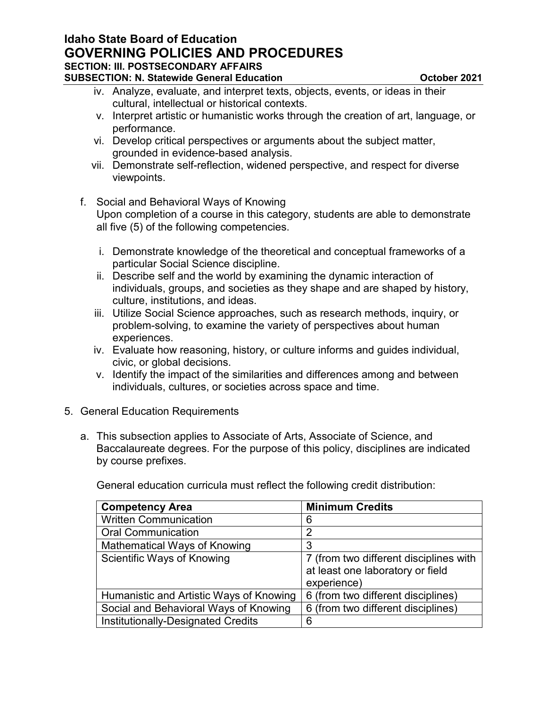## **Idaho State Board of Education GOVERNING POLICIES AND PROCEDURES SECTION: III. POSTSECONDARY AFFAIRS SUBSECTION: N. Statewide General Education CUBSECTION: N. Statewide General Education**

- iv. Analyze, evaluate, and interpret texts, objects, events, or ideas in their cultural, intellectual or historical contexts.
- v. Interpret artistic or humanistic works through the creation of art, language, or performance.
- vi. Develop critical perspectives or arguments about the subject matter, grounded in evidence-based analysis.
- vii. Demonstrate self-reflection, widened perspective, and respect for diverse viewpoints.
- f. Social and Behavioral Ways of Knowing Upon completion of a course in this category, students are able to demonstrate all five (5) of the following competencies.
	- i. Demonstrate knowledge of the theoretical and conceptual frameworks of a particular Social Science discipline.
	- ii. Describe self and the world by examining the dynamic interaction of individuals, groups, and societies as they shape and are shaped by history, culture, institutions, and ideas.
	- iii. Utilize Social Science approaches, such as research methods, inquiry, or problem-solving, to examine the variety of perspectives about human experiences.
	- iv. Evaluate how reasoning, history, or culture informs and guides individual, civic, or global decisions.
	- v. Identify the impact of the similarities and differences among and between individuals, cultures, or societies across space and time.
- 5. General Education Requirements
	- a. This subsection applies to Associate of Arts, Associate of Science, and Baccalaureate degrees. For the purpose of this policy, disciplines are indicated by course prefixes.

General education curricula must reflect the following credit distribution:

| <b>Competency Area</b>                  | <b>Minimum Credits</b>                                                                    |
|-----------------------------------------|-------------------------------------------------------------------------------------------|
| <b>Written Communication</b>            | 6                                                                                         |
| <b>Oral Communication</b>               | 2                                                                                         |
| Mathematical Ways of Knowing            | 3                                                                                         |
| Scientific Ways of Knowing              | 7 (from two different disciplines with<br>at least one laboratory or field<br>experience) |
| Humanistic and Artistic Ways of Knowing | 6 (from two different disciplines)                                                        |
| Social and Behavioral Ways of Knowing   | 6 (from two different disciplines)                                                        |
| Institutionally-Designated Credits      | 6                                                                                         |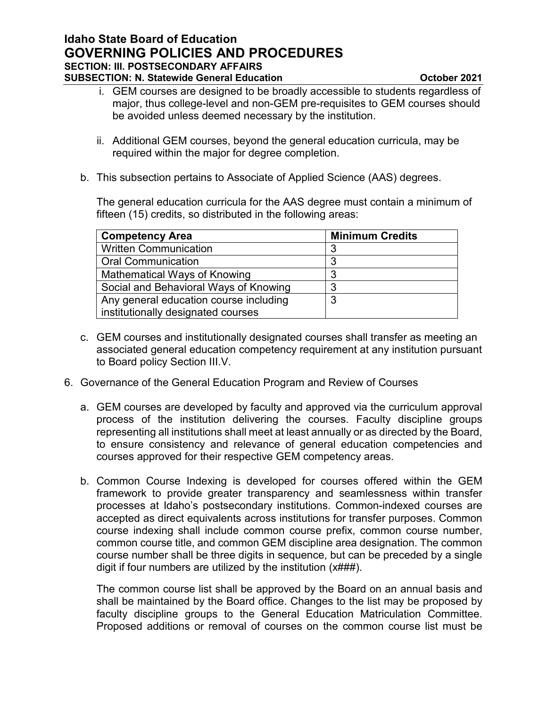- i. GEM courses are designed to be broadly accessible to students regardless of major, thus college-level and non-GEM pre-requisites to GEM courses should be avoided unless deemed necessary by the institution.
- ii. Additional GEM courses, beyond the general education curricula, may be required within the major for degree completion.
- b. This subsection pertains to Associate of Applied Science (AAS) degrees.

The general education curricula for the AAS degree must contain a minimum of fifteen (15) credits, so distributed in the following areas:

| <b>Competency Area</b>                 | <b>Minimum Credits</b> |
|----------------------------------------|------------------------|
| <b>Written Communication</b>           |                        |
| <b>Oral Communication</b>              |                        |
| Mathematical Ways of Knowing           |                        |
| Social and Behavioral Ways of Knowing  | ົ                      |
| Any general education course including | ົ                      |
| institutionally designated courses     |                        |

- c. GEM courses and institutionally designated courses shall transfer as meeting an associated general education competency requirement at any institution pursuant to Board policy Section III.V.
- 6. Governance of the General Education Program and Review of Courses
	- a. GEM courses are developed by faculty and approved via the curriculum approval process of the institution delivering the courses. Faculty discipline groups representing all institutions shall meet at least annually or as directed by the Board, to ensure consistency and relevance of general education competencies and courses approved for their respective GEM competency areas.
	- b. Common Course Indexing is developed for courses offered within the GEM framework to provide greater transparency and seamlessness within transfer processes at Idaho's postsecondary institutions. Common-indexed courses are accepted as direct equivalents across institutions for transfer purposes. Common course indexing shall include common course prefix, common course number, common course title, and common GEM discipline area designation. The common course number shall be three digits in sequence, but can be preceded by a single digit if four numbers are utilized by the institution (x###).

The common course list shall be approved by the Board on an annual basis and shall be maintained by the Board office. Changes to the list may be proposed by faculty discipline groups to the General Education Matriculation Committee. Proposed additions or removal of courses on the common course list must be